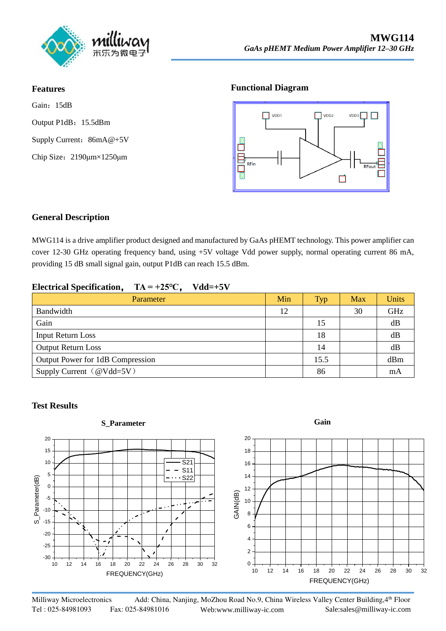

#### **Features**

Gain: 15dB Output P1dB:15.5dBm Supply Current: [86mA@+5V](mailto:200mA@+5V) Chip Size:2190μm×1250μm

#### **Functional Diagram**



## **General Description**

MWG114 is a drive amplifier product designed and manufactured by GaAs pHEMT technology. This power amplifier can cover 12-30 GHz operating frequency band, using +5V voltage Vdd power supply, normal operating current 86 mA, providing 15 dB small signal gain, output P1dB can reach 15.5 dBm.

## **Electrical Specification**, **TA = +25℃**, **Vdd=+5V**

| Parameter                        | Min | <b>Typ</b> | Max | Units |
|----------------------------------|-----|------------|-----|-------|
| Bandwidth                        | 12  |            | 30  | GHz   |
| Gain                             |     | 15         |     | dB    |
| <b>Input Return Loss</b>         |     | 18         |     | dB    |
| <b>Output Return Loss</b>        |     | 14         |     | dB    |
| Output Power for 1dB Compression |     | 15.5       |     | dBm   |
| Supply Current (@Vdd=5V)         |     | 86         |     | mA    |

#### **Test Results**

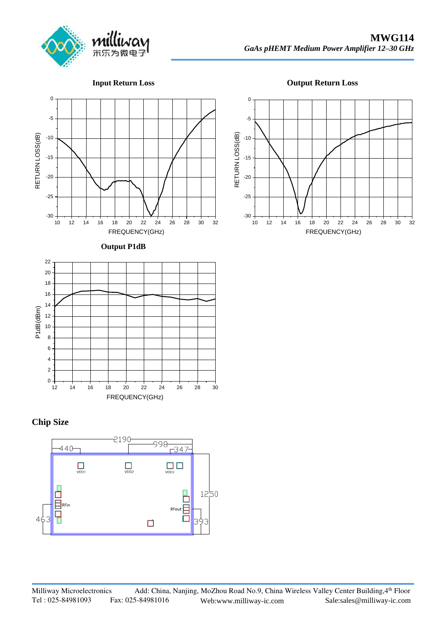

**Input Return Loss**





**Output P1dB**



## **Chip Size**







FREQUENCY(GHz)